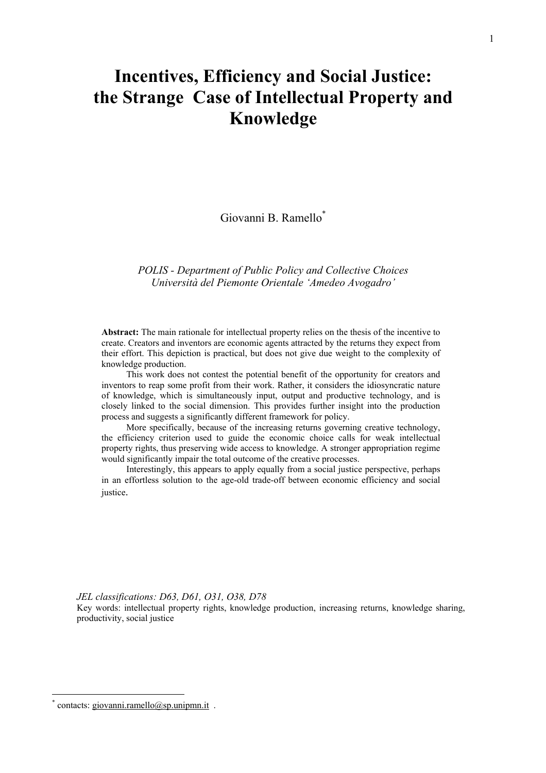# **Incentives, Efficiency and Social Justice: the Strange Case of Intellectual Property and Knowledge**

Giovanni B. Ramello\*

*POLIS - Department of Public Policy and Collective Choices Università del Piemonte Orientale 'Amedeo Avogadro'* 

**Abstract:** The main rationale for intellectual property relies on the thesis of the incentive to create. Creators and inventors are economic agents attracted by the returns they expect from their effort. This depiction is practical, but does not give due weight to the complexity of knowledge production.

This work does not contest the potential benefit of the opportunity for creators and inventors to reap some profit from their work. Rather, it considers the idiosyncratic nature of knowledge, which is simultaneously input, output and productive technology, and is closely linked to the social dimension. This provides further insight into the production process and suggests a significantly different framework for policy.

More specifically, because of the increasing returns governing creative technology, the efficiency criterion used to guide the economic choice calls for weak intellectual property rights, thus preserving wide access to knowledge. A stronger appropriation regime would significantly impair the total outcome of the creative processes.

Interestingly, this appears to apply equally from a social justice perspective, perhaps in an effortless solution to the age-old trade-off between economic efficiency and social justice.

*JEL classifications: D63, D61, O31, O38, D78* 

Key words: intellectual property rights, knowledge production, increasing returns, knowledge sharing, productivity, social justice

<sup>\*</sup> contacts: giovanni.ramello@sp.unipmn.it .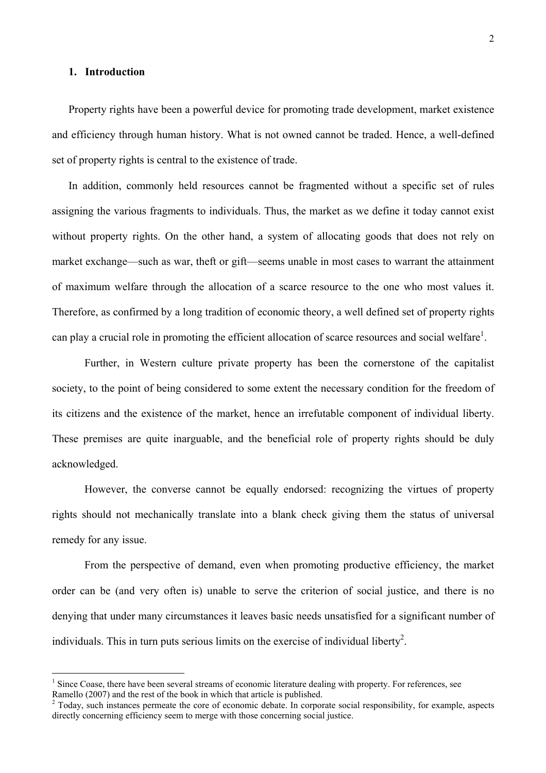## **1. Introduction**

Property rights have been a powerful device for promoting trade development, market existence and efficiency through human history. What is not owned cannot be traded. Hence, a well-defined set of property rights is central to the existence of trade.

In addition, commonly held resources cannot be fragmented without a specific set of rules assigning the various fragments to individuals. Thus, the market as we define it today cannot exist without property rights. On the other hand, a system of allocating goods that does not rely on market exchange—such as war, theft or gift—seems unable in most cases to warrant the attainment of maximum welfare through the allocation of a scarce resource to the one who most values it. Therefore, as confirmed by a long tradition of economic theory, a well defined set of property rights can play a crucial role in promoting the efficient allocation of scarce resources and social welfare<sup>1</sup>.

Further, in Western culture private property has been the cornerstone of the capitalist society, to the point of being considered to some extent the necessary condition for the freedom of its citizens and the existence of the market, hence an irrefutable component of individual liberty. These premises are quite inarguable, and the beneficial role of property rights should be duly acknowledged.

However, the converse cannot be equally endorsed: recognizing the virtues of property rights should not mechanically translate into a blank check giving them the status of universal remedy for any issue.

From the perspective of demand, even when promoting productive efficiency, the market order can be (and very often is) unable to serve the criterion of social justice, and there is no denying that under many circumstances it leaves basic needs unsatisfied for a significant number of individuals. This in turn puts serious limits on the exercise of individual liberty<sup>2</sup>.

<sup>&</sup>lt;sup>1</sup> Since Coase, there have been several streams of economic literature dealing with property. For references, see Ramello (2007) and the rest of the book in which that article is published. 2

<sup>&</sup>lt;sup>2</sup> Today, such instances permeate the core of economic debate. In corporate social responsibility, for example, aspects directly concerning efficiency seem to merge with those concerning social justice.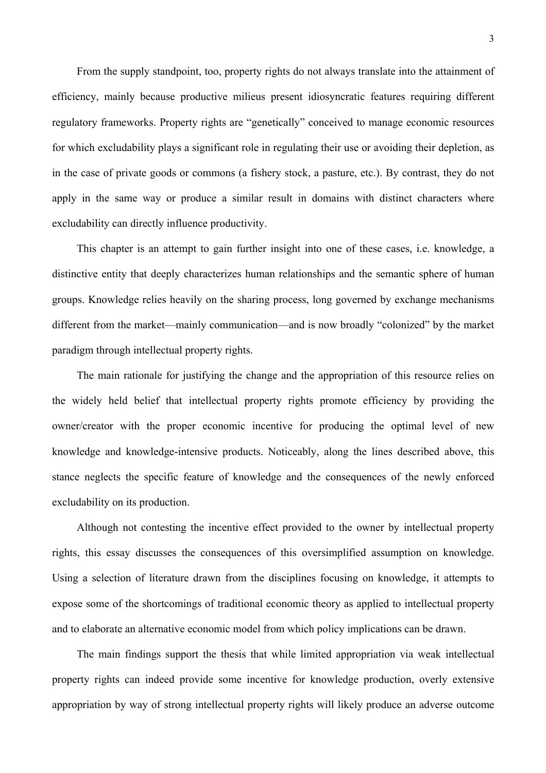From the supply standpoint, too, property rights do not always translate into the attainment of efficiency, mainly because productive milieus present idiosyncratic features requiring different regulatory frameworks. Property rights are "genetically" conceived to manage economic resources for which excludability plays a significant role in regulating their use or avoiding their depletion, as in the case of private goods or commons (a fishery stock, a pasture, etc.). By contrast, they do not apply in the same way or produce a similar result in domains with distinct characters where excludability can directly influence productivity.

This chapter is an attempt to gain further insight into one of these cases, i.e. knowledge, a distinctive entity that deeply characterizes human relationships and the semantic sphere of human groups. Knowledge relies heavily on the sharing process, long governed by exchange mechanisms different from the market—mainly communication—and is now broadly "colonized" by the market paradigm through intellectual property rights.

The main rationale for justifying the change and the appropriation of this resource relies on the widely held belief that intellectual property rights promote efficiency by providing the owner/creator with the proper economic incentive for producing the optimal level of new knowledge and knowledge-intensive products. Noticeably, along the lines described above, this stance neglects the specific feature of knowledge and the consequences of the newly enforced excludability on its production.

Although not contesting the incentive effect provided to the owner by intellectual property rights, this essay discusses the consequences of this oversimplified assumption on knowledge. Using a selection of literature drawn from the disciplines focusing on knowledge, it attempts to expose some of the shortcomings of traditional economic theory as applied to intellectual property and to elaborate an alternative economic model from which policy implications can be drawn.

The main findings support the thesis that while limited appropriation via weak intellectual property rights can indeed provide some incentive for knowledge production, overly extensive appropriation by way of strong intellectual property rights will likely produce an adverse outcome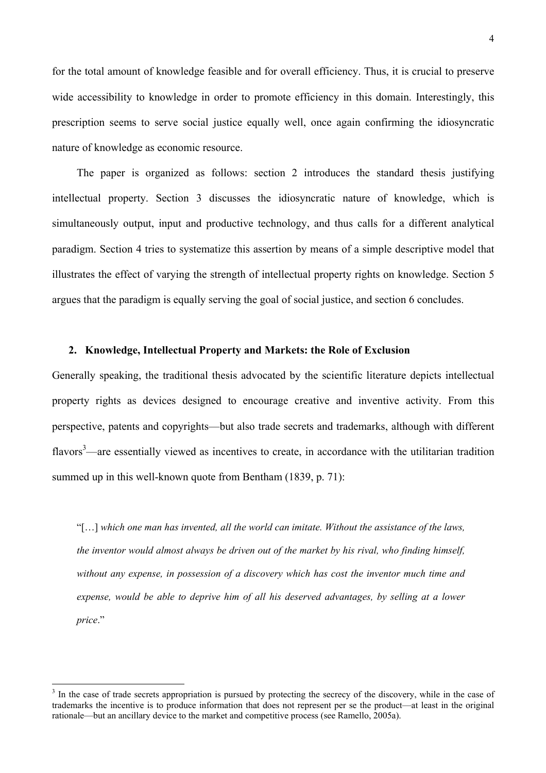for the total amount of knowledge feasible and for overall efficiency. Thus, it is crucial to preserve wide accessibility to knowledge in order to promote efficiency in this domain. Interestingly, this prescription seems to serve social justice equally well, once again confirming the idiosyncratic nature of knowledge as economic resource.

The paper is organized as follows: section 2 introduces the standard thesis justifying intellectual property. Section 3 discusses the idiosyncratic nature of knowledge, which is simultaneously output, input and productive technology, and thus calls for a different analytical paradigm. Section 4 tries to systematize this assertion by means of a simple descriptive model that illustrates the effect of varying the strength of intellectual property rights on knowledge. Section 5 argues that the paradigm is equally serving the goal of social justice, and section 6 concludes.

## **2. Knowledge, Intellectual Property and Markets: the Role of Exclusion**

Generally speaking, the traditional thesis advocated by the scientific literature depicts intellectual property rights as devices designed to encourage creative and inventive activity. From this perspective, patents and copyrights—but also trade secrets and trademarks, although with different flavors<sup>3</sup>—are essentially viewed as incentives to create, in accordance with the utilitarian tradition summed up in this well-known quote from Bentham (1839, p. 71):

"[…] *which one man has invented, all the world can imitate. Without the assistance of the laws, the inventor would almost always be driven out of the market by his rival, who finding himself, without any expense, in possession of a discovery which has cost the inventor much time and expense, would be able to deprive him of all his deserved advantages, by selling at a lower price*."

 $3$  In the case of trade secrets appropriation is pursued by protecting the secrecy of the discovery, while in the case of trademarks the incentive is to produce information that does not represent per se the product—at least in the original rationale—but an ancillary device to the market and competitive process (see Ramello, 2005a).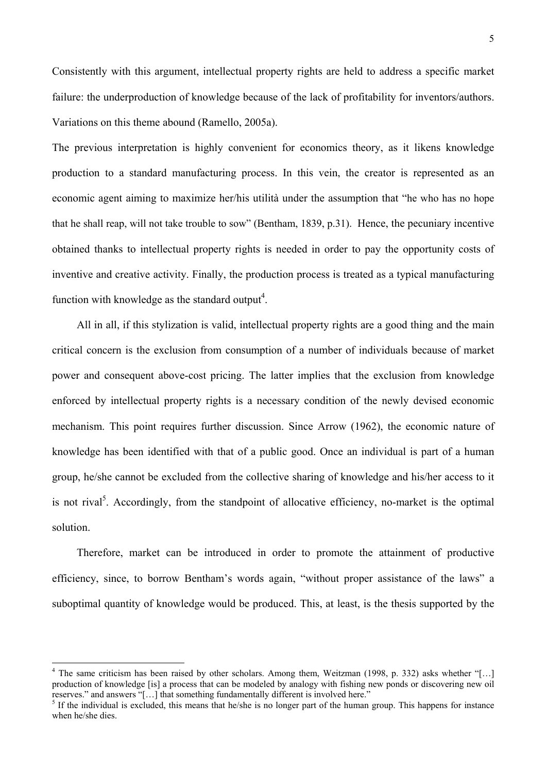Consistently with this argument, intellectual property rights are held to address a specific market failure: the underproduction of knowledge because of the lack of profitability for inventors/authors. Variations on this theme abound (Ramello, 2005a).

The previous interpretation is highly convenient for economics theory, as it likens knowledge production to a standard manufacturing process. In this vein, the creator is represented as an economic agent aiming to maximize her/his utilità under the assumption that "he who has no hope that he shall reap, will not take trouble to sow" (Bentham, 1839, p.31). Hence, the pecuniary incentive obtained thanks to intellectual property rights is needed in order to pay the opportunity costs of inventive and creative activity. Finally, the production process is treated as a typical manufacturing function with knowledge as the standard output<sup>4</sup>.

All in all, if this stylization is valid, intellectual property rights are a good thing and the main critical concern is the exclusion from consumption of a number of individuals because of market power and consequent above-cost pricing. The latter implies that the exclusion from knowledge enforced by intellectual property rights is a necessary condition of the newly devised economic mechanism. This point requires further discussion. Since Arrow (1962), the economic nature of knowledge has been identified with that of a public good. Once an individual is part of a human group, he/she cannot be excluded from the collective sharing of knowledge and his/her access to it is not rival<sup>5</sup>. Accordingly, from the standpoint of allocative efficiency, no-market is the optimal solution.

Therefore, market can be introduced in order to promote the attainment of productive efficiency, since, to borrow Bentham's words again, "without proper assistance of the laws" a suboptimal quantity of knowledge would be produced. This, at least, is the thesis supported by the

<sup>&</sup>lt;sup>4</sup> The same criticism has been raised by other scholars. Among them, Weitzman (1998, p. 332) asks whether "[...] production of knowledge [is] a process that can be modeled by analogy with fishing new ponds or discovering new oil reserves." and answers "[...] that something fundamentally different is involved here."

 $<sup>5</sup>$  If the individual is excluded, this means that he/she is no longer part of the human group. This happens for instance</sup> when he/she dies.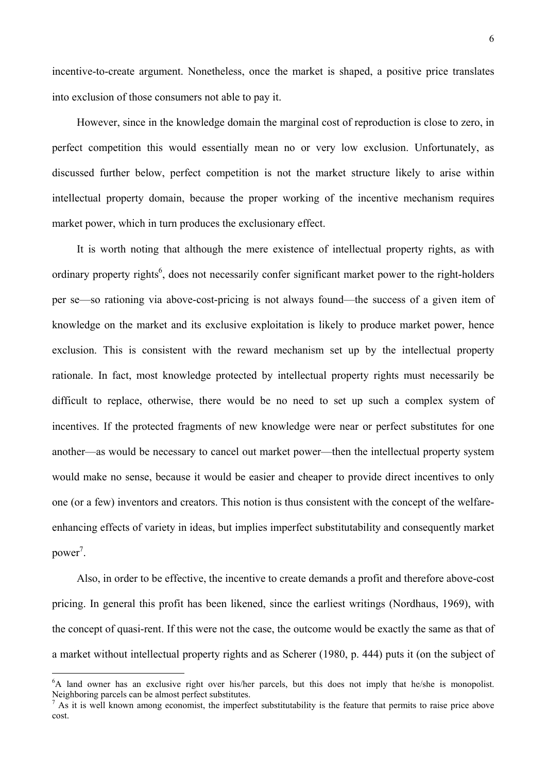incentive-to-create argument. Nonetheless, once the market is shaped, a positive price translates into exclusion of those consumers not able to pay it.

However, since in the knowledge domain the marginal cost of reproduction is close to zero, in perfect competition this would essentially mean no or very low exclusion. Unfortunately, as discussed further below, perfect competition is not the market structure likely to arise within intellectual property domain, because the proper working of the incentive mechanism requires market power, which in turn produces the exclusionary effect.

It is worth noting that although the mere existence of intellectual property rights, as with ordinary property rights<sup>6</sup>, does not necessarily confer significant market power to the right-holders per se—so rationing via above-cost-pricing is not always found—the success of a given item of knowledge on the market and its exclusive exploitation is likely to produce market power, hence exclusion. This is consistent with the reward mechanism set up by the intellectual property rationale. In fact, most knowledge protected by intellectual property rights must necessarily be difficult to replace, otherwise, there would be no need to set up such a complex system of incentives. If the protected fragments of new knowledge were near or perfect substitutes for one another—as would be necessary to cancel out market power—then the intellectual property system would make no sense, because it would be easier and cheaper to provide direct incentives to only one (or a few) inventors and creators. This notion is thus consistent with the concept of the welfareenhancing effects of variety in ideas, but implies imperfect substitutability and consequently market power<sup>7</sup>.

Also, in order to be effective, the incentive to create demands a profit and therefore above-cost pricing. In general this profit has been likened, since the earliest writings (Nordhaus, 1969), with the concept of quasi-rent. If this were not the case, the outcome would be exactly the same as that of a market without intellectual property rights and as Scherer (1980, p. 444) puts it (on the subject of

<sup>&</sup>lt;sup>6</sup>A land owner has an exclusive right over his/her parcels, but this does not imply that he/she is monopolist. Neighboring parcels can be almost perfect substitutes.

 $<sup>7</sup>$  As it is well known among economist, the imperfect substitutability is the feature that permits to raise price above</sup> cost.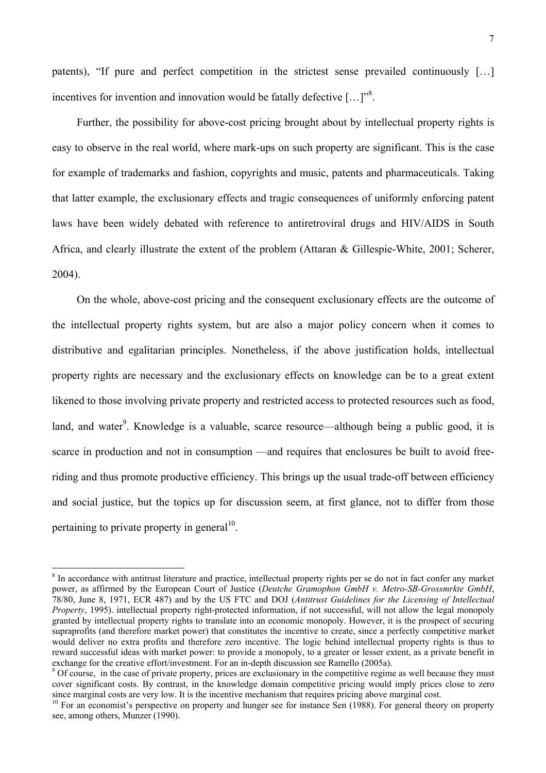patents), "If pure and perfect competition in the strictest sense prevailed continuously […] incentives for invention and innovation would be fatally defective  $[...]^{38}$ .

Further, the possibility for above-cost pricing brought about by intellectual property rights is easy to observe in the real world, where mark-ups on such property are significant. This is the case for example of trademarks and fashion, copyrights and music, patents and pharmaceuticals. Taking that latter example, the exclusionary effects and tragic consequences of uniformly enforcing patent laws have been widely debated with reference to antiretroviral drugs and HIV/AIDS in South Africa, and clearly illustrate the extent of the problem (Attaran & Gillespie-White, 2001; Scherer, 2004).

On the whole, above-cost pricing and the consequent exclusionary effects are the outcome of the intellectual property rights system, but are also a major policy concern when it comes to distributive and egalitarian principles. Nonetheless, if the above justification holds, intellectual property rights are necessary and the exclusionary effects on knowledge can be to a great extent likened to those involving private property and restricted access to protected resources such as food, land, and water<sup>9</sup>. Knowledge is a valuable, scarce resource—although being a public good, it is scarce in production and not in consumption —and requires that enclosures be built to avoid freeriding and thus promote productive efficiency. This brings up the usual trade-off between efficiency and social justice, but the topics up for discussion seem, at first glance, not to differ from those pertaining to private property in general  $10<sup>10</sup>$ .

 $8 \text{ In accordance with antitrust literature and practice, intellectual property rights per se do not in fact confer any market.}$ power, as affirmed by the European Court of Justice (*Deutche Gramophon GmbH v. Metro-SB-Grossmrkte GmbH*, 78/80, June 8, 1971, ECR 487) and by the US FTC and DOJ (*Antitrust Guidelines for the Licensing of Intellectual Property*, 1995). intellectual property right-protected information, if not successful, will not allow the legal monopoly granted by intellectual property rights to translate into an economic monopoly. However, it is the prospect of securing supraprofits (and therefore market power) that constitutes the incentive to create, since a perfectly competitive market would deliver no extra profits and therefore zero incentive. The logic behind intellectual property rights is thus to reward successful ideas with market power: to provide a monopoly, to a greater or lesser extent, as a private benefit in exchange for the creative effort/investment. For an in-depth discussion see Ramello (2005a).

<sup>&</sup>lt;sup>9</sup> Of course, in the case of private property, prices are exclusionary in the competitive regime as well because they must cover significant costs. By contrast, in the knowledge domain competitive pricing would imply prices close to zero since marginal costs are very low. It is the incentive mechanism that requires pricing above marginal cost.  $10$  For an economist's perspective on property and hunger see for instance Sen (1988). For general theory on pro

see, among others, Munzer (1990).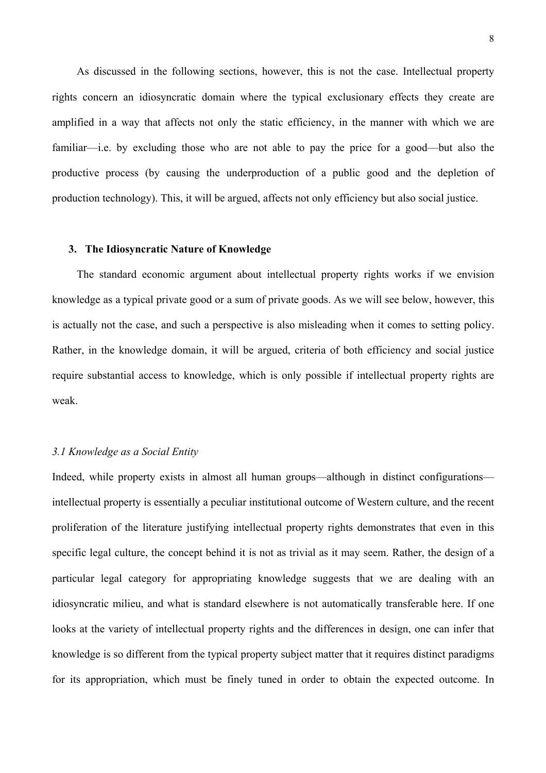As discussed in the following sections, however, this is not the case. Intellectual property rights concern an idiosyncratic domain where the typical exclusionary effects they create are amplified in a way that affects not only the static efficiency, in the manner with which we are familiar—i.e. by excluding those who are not able to pay the price for a good—but also the productive process (by causing the underproduction of a public good and the depletion of production technology). This, it will be argued, affects not only efficiency but also social justice.

# **3. The Idiosyncratic Nature of Knowledge**

The standard economic argument about intellectual property rights works if we envision knowledge as a typical private good or a sum of private goods. As we will see below, however, this is actually not the case, and such a perspective is also misleading when it comes to setting policy. Rather, in the knowledge domain, it will be argued, criteria of both efficiency and social justice require substantial access to knowledge, which is only possible if intellectual property rights are weak.

## *3.1 Knowledge as a Social Entity*

Indeed, while property exists in almost all human groups—although in distinct configurations intellectual property is essentially a peculiar institutional outcome of Western culture, and the recent proliferation of the literature justifying intellectual property rights demonstrates that even in this specific legal culture, the concept behind it is not as trivial as it may seem. Rather, the design of a particular legal category for appropriating knowledge suggests that we are dealing with an idiosyncratic milieu, and what is standard elsewhere is not automatically transferable here. If one looks at the variety of intellectual property rights and the differences in design, one can infer that knowledge is so different from the typical property subject matter that it requires distinct paradigms for its appropriation, which must be finely tuned in order to obtain the expected outcome. In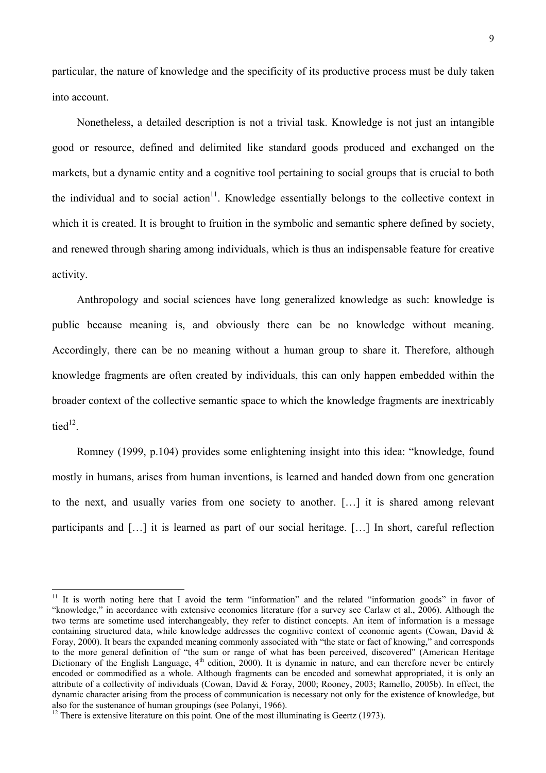particular, the nature of knowledge and the specificity of its productive process must be duly taken into account.

Nonetheless, a detailed description is not a trivial task. Knowledge is not just an intangible good or resource, defined and delimited like standard goods produced and exchanged on the markets, but a dynamic entity and a cognitive tool pertaining to social groups that is crucial to both the individual and to social action<sup>11</sup>. Knowledge essentially belongs to the collective context in which it is created. It is brought to fruition in the symbolic and semantic sphere defined by society, and renewed through sharing among individuals, which is thus an indispensable feature for creative activity.

Anthropology and social sciences have long generalized knowledge as such: knowledge is public because meaning is, and obviously there can be no knowledge without meaning. Accordingly, there can be no meaning without a human group to share it. Therefore, although knowledge fragments are often created by individuals, this can only happen embedded within the broader context of the collective semantic space to which the knowledge fragments are inextricably tied $12$ .

Romney (1999, p.104) provides some enlightening insight into this idea: "knowledge, found mostly in humans, arises from human inventions, is learned and handed down from one generation to the next, and usually varies from one society to another. […] it is shared among relevant participants and […] it is learned as part of our social heritage. […] In short, careful reflection

<sup>&</sup>lt;sup>11</sup> It is worth noting here that I avoid the term "information" and the related "information goods" in favor of "knowledge," in accordance with extensive economics literature (for a survey see Carlaw et al., 2006). Although the two terms are sometime used interchangeably, they refer to distinct concepts. An item of information is a message containing structured data, while knowledge addresses the cognitive context of economic agents (Cowan, David & Foray, 2000). It bears the expanded meaning commonly associated with "the state or fact of knowing," and corresponds to the more general definition of "the sum or range of what has been perceived, discovered" (American Heritage Dictionary of the English Language,  $4<sup>th</sup>$  edition, 2000). It is dynamic in nature, and can therefore never be entirely encoded or commodified as a whole. Although fragments can be encoded and somewhat appropriated, it is only an attribute of a collectivity of individuals (Cowan, David & Foray, 2000; Rooney, 2003; Ramello, 2005b). In effect, the dynamic character arising from the process of communication is necessary not only for the existence of knowledge, but also for the sustenance of human groupings (see Polanyi, 1966). 12 There is extensive literature on this point. One of the most illuminating is Geertz (1973).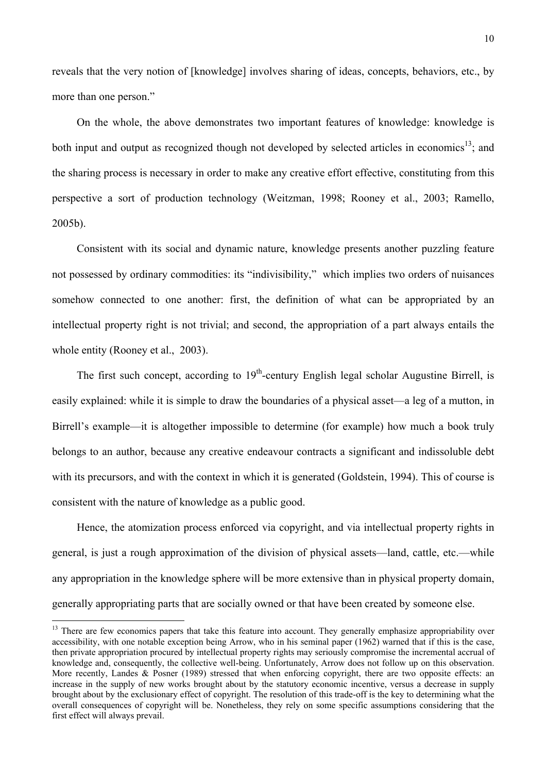reveals that the very notion of [knowledge] involves sharing of ideas, concepts, behaviors, etc., by more than one person."

On the whole, the above demonstrates two important features of knowledge: knowledge is both input and output as recognized though not developed by selected articles in economics<sup>13</sup>; and the sharing process is necessary in order to make any creative effort effective, constituting from this perspective a sort of production technology (Weitzman, 1998; Rooney et al., 2003; Ramello, 2005b).

Consistent with its social and dynamic nature, knowledge presents another puzzling feature not possessed by ordinary commodities: its "indivisibility," which implies two orders of nuisances somehow connected to one another: first, the definition of what can be appropriated by an intellectual property right is not trivial; and second, the appropriation of a part always entails the whole entity (Rooney et al., 2003).

The first such concept, according to  $19<sup>th</sup>$ -century English legal scholar Augustine Birrell, is easily explained: while it is simple to draw the boundaries of a physical asset—a leg of a mutton, in Birrell's example—it is altogether impossible to determine (for example) how much a book truly belongs to an author, because any creative endeavour contracts a significant and indissoluble debt with its precursors, and with the context in which it is generated (Goldstein, 1994). This of course is consistent with the nature of knowledge as a public good.

Hence, the atomization process enforced via copyright, and via intellectual property rights in general, is just a rough approximation of the division of physical assets—land, cattle, etc.—while any appropriation in the knowledge sphere will be more extensive than in physical property domain, generally appropriating parts that are socially owned or that have been created by someone else.

<sup>&</sup>lt;sup>13</sup> There are few economics papers that take this feature into account. They generally emphasize appropriability over accessibility, with one notable exception being Arrow, who in his seminal paper (1962) warned that if this is the case. then private appropriation procured by intellectual property rights may seriously compromise the incremental accrual of knowledge and, consequently, the collective well-being. Unfortunately, Arrow does not follow up on this observation. More recently, Landes & Posner (1989) stressed that when enforcing copyright, there are two opposite effects: an increase in the supply of new works brought about by the statutory economic incentive, versus a decrease in supply brought about by the exclusionary effect of copyright. The resolution of this trade-off is the key to determining what the overall consequences of copyright will be. Nonetheless, they rely on some specific assumptions considering that the first effect will always prevail.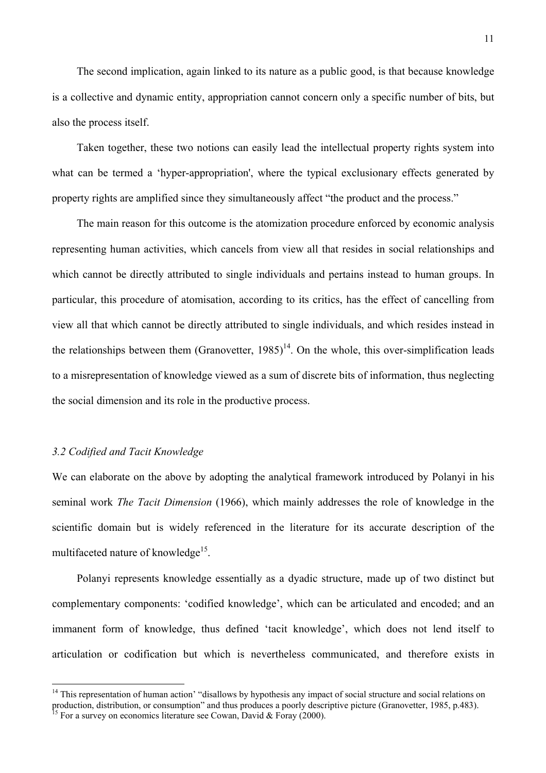The second implication, again linked to its nature as a public good, is that because knowledge is a collective and dynamic entity, appropriation cannot concern only a specific number of bits, but also the process itself.

Taken together, these two notions can easily lead the intellectual property rights system into what can be termed a 'hyper-appropriation', where the typical exclusionary effects generated by property rights are amplified since they simultaneously affect "the product and the process."

The main reason for this outcome is the atomization procedure enforced by economic analysis representing human activities, which cancels from view all that resides in social relationships and which cannot be directly attributed to single individuals and pertains instead to human groups. In particular, this procedure of atomisation, according to its critics, has the effect of cancelling from view all that which cannot be directly attributed to single individuals, and which resides instead in the relationships between them (Granovetter,  $1985$ )<sup>14</sup>. On the whole, this over-simplification leads to a misrepresentation of knowledge viewed as a sum of discrete bits of information, thus neglecting the social dimension and its role in the productive process.

## *3.2 Codified and Tacit Knowledge*

 $\overline{a}$ 

We can elaborate on the above by adopting the analytical framework introduced by Polanyi in his seminal work *The Tacit Dimension* (1966), which mainly addresses the role of knowledge in the scientific domain but is widely referenced in the literature for its accurate description of the multifaceted nature of knowledge $15$ .

Polanyi represents knowledge essentially as a dyadic structure, made up of two distinct but complementary components: 'codified knowledge', which can be articulated and encoded; and an immanent form of knowledge, thus defined 'tacit knowledge', which does not lend itself to articulation or codification but which is nevertheless communicated, and therefore exists in

<sup>&</sup>lt;sup>14</sup> This representation of human action' "disallows by hypothesis any impact of social structure and social relations on production, distribution, or consumption" and thus produces a poorly descriptive picture (Granovetter, 1985, p.483).

<sup>&</sup>lt;sup>15</sup> For a survey on economics literature see Cowan, David & Foray (2000).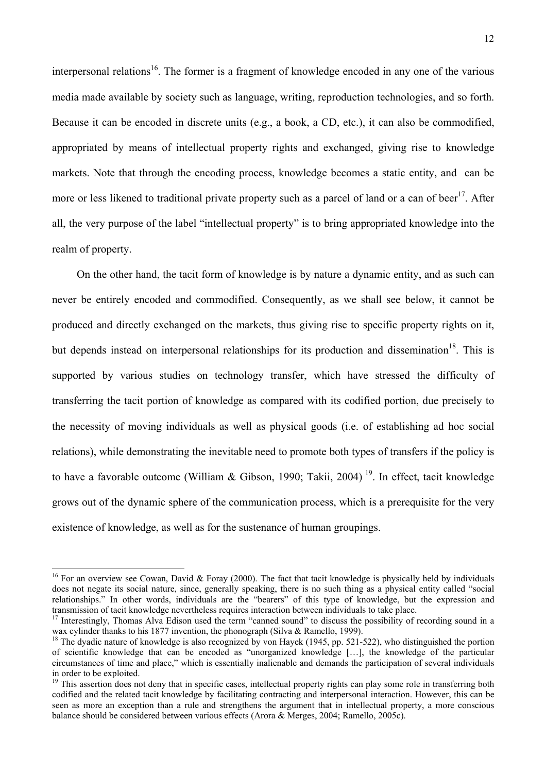interpersonal relations<sup>16</sup>. The former is a fragment of knowledge encoded in any one of the various media made available by society such as language, writing, reproduction technologies, and so forth. Because it can be encoded in discrete units (e.g., a book, a CD, etc.), it can also be commodified, appropriated by means of intellectual property rights and exchanged, giving rise to knowledge markets. Note that through the encoding process, knowledge becomes a static entity, and can be more or less likened to traditional private property such as a parcel of land or a can of beer<sup>17</sup>. After all, the very purpose of the label "intellectual property" is to bring appropriated knowledge into the realm of property.

On the other hand, the tacit form of knowledge is by nature a dynamic entity, and as such can never be entirely encoded and commodified. Consequently, as we shall see below, it cannot be produced and directly exchanged on the markets, thus giving rise to specific property rights on it, but depends instead on interpersonal relationships for its production and dissemination<sup>18</sup>. This is supported by various studies on technology transfer, which have stressed the difficulty of transferring the tacit portion of knowledge as compared with its codified portion, due precisely to the necessity of moving individuals as well as physical goods (i.e. of establishing ad hoc social relations), while demonstrating the inevitable need to promote both types of transfers if the policy is to have a favorable outcome (William & Gibson, 1990; Takii, 2004)<sup>19</sup>. In effect, tacit knowledge grows out of the dynamic sphere of the communication process, which is a prerequisite for the very existence of knowledge, as well as for the sustenance of human groupings.

<sup>&</sup>lt;sup>16</sup> For an overview see Cowan, David & Foray (2000). The fact that tacit knowledge is physically held by individuals does not negate its social nature, since, generally speaking, there is no such thing as a physical entity called "social relationships." In other words, individuals are the "bearers" of this type of knowledge, but the expression and transmission of tacit knowledge nevertheless requires interaction between individuals to take place.

 $17$  Interestingly, Thomas Alva Edison used the term "canned sound" to discuss the possibility of recording sound in a wax cylinder thanks to his 1877 invention, the phonograph (Silva & Ramello, 1999).

<sup>&</sup>lt;sup>18</sup> The dyadic nature of knowledge is also recognized by von Hayek (1945, pp. 521-522), who distinguished the portion of scientific knowledge that can be encoded as "unorganized knowledge […], the knowledge of the particular circumstances of time and place," which is essentially inalienable and demands the participation of several individuals in order to be exploited.

<sup>&</sup>lt;sup>19</sup> This assertion does not deny that in specific cases, intellectual property rights can play some role in transferring both codified and the related tacit knowledge by facilitating contracting and interpersonal interaction. However, this can be seen as more an exception than a rule and strengthens the argument that in intellectual property, a more conscious balance should be considered between various effects (Arora & Merges, 2004; Ramello, 2005c).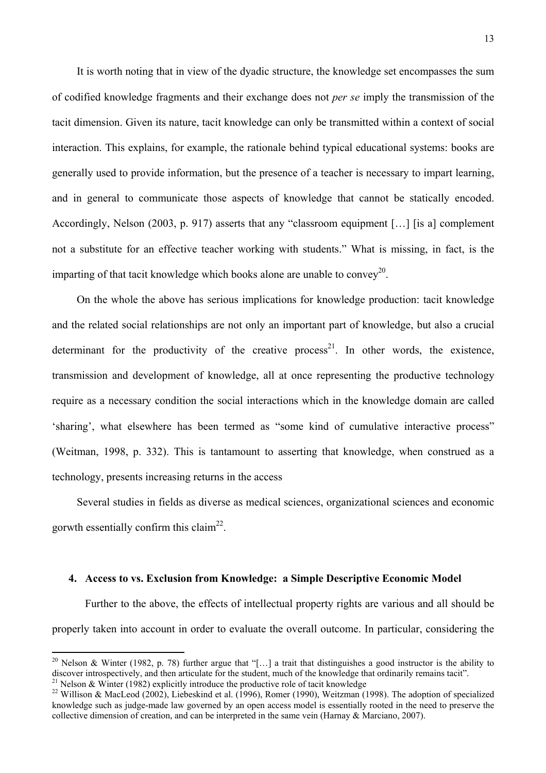It is worth noting that in view of the dyadic structure, the knowledge set encompasses the sum of codified knowledge fragments and their exchange does not *per se* imply the transmission of the tacit dimension. Given its nature, tacit knowledge can only be transmitted within a context of social interaction. This explains, for example, the rationale behind typical educational systems: books are generally used to provide information, but the presence of a teacher is necessary to impart learning, and in general to communicate those aspects of knowledge that cannot be statically encoded. Accordingly, Nelson (2003, p. 917) asserts that any "classroom equipment […] [is a] complement not a substitute for an effective teacher working with students." What is missing, in fact, is the imparting of that tacit knowledge which books alone are unable to convey<sup>20</sup>.

On the whole the above has serious implications for knowledge production: tacit knowledge and the related social relationships are not only an important part of knowledge, but also a crucial determinant for the productivity of the creative process<sup>21</sup>. In other words, the existence, transmission and development of knowledge, all at once representing the productive technology require as a necessary condition the social interactions which in the knowledge domain are called 'sharing', what elsewhere has been termed as "some kind of cumulative interactive process" (Weitman, 1998, p. 332). This is tantamount to asserting that knowledge, when construed as a technology, presents increasing returns in the access

Several studies in fields as diverse as medical sciences, organizational sciences and economic gorwth essentially confirm this claim<sup>22</sup>.

# **4. Access to vs. Exclusion from Knowledge: a Simple Descriptive Economic Model**

Further to the above, the effects of intellectual property rights are various and all should be properly taken into account in order to evaluate the overall outcome. In particular, considering the

<sup>&</sup>lt;sup>20</sup> Nelson & Winter (1982, p. 78) further argue that "[...] a trait that distinguishes a good instructor is the ability to discover introspectively, and then articulate for the student, much of the knowledge that ordinarily remains tacit".

<sup>&</sup>lt;sup>21</sup> Nelson & Winter (1982) explicitly introduce the productive role of tacit knowledge

<sup>&</sup>lt;sup>22</sup> Willison & MacLeod (2002), Liebeskind et al. (1996), Romer (1990), Weitzman (1998). The adoption of specialized knowledge such as judge-made law governed by an open access model is essentially rooted in the need to preserve the collective dimension of creation, and can be interpreted in the same vein (Harnay & Marciano, 2007).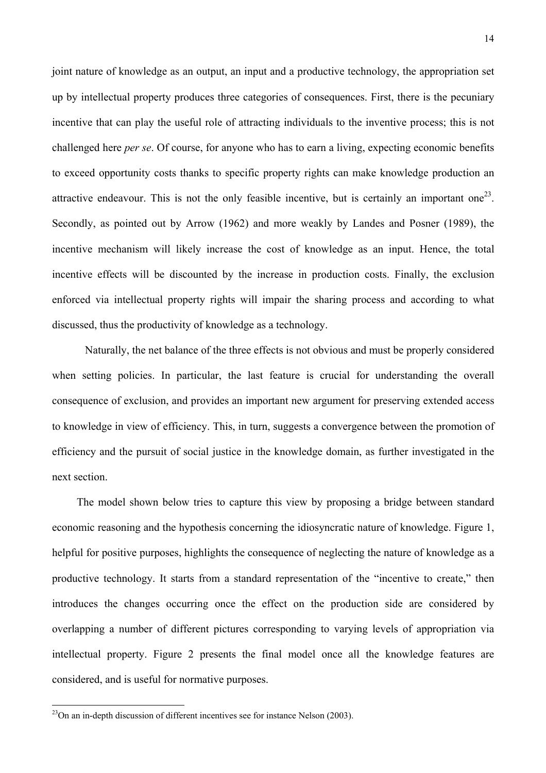joint nature of knowledge as an output, an input and a productive technology, the appropriation set up by intellectual property produces three categories of consequences. First, there is the pecuniary incentive that can play the useful role of attracting individuals to the inventive process; this is not challenged here *per se*. Of course, for anyone who has to earn a living, expecting economic benefits to exceed opportunity costs thanks to specific property rights can make knowledge production an attractive endeavour. This is not the only feasible incentive, but is certainly an important one<sup>23</sup>. Secondly, as pointed out by Arrow (1962) and more weakly by Landes and Posner (1989), the incentive mechanism will likely increase the cost of knowledge as an input. Hence, the total incentive effects will be discounted by the increase in production costs. Finally, the exclusion enforced via intellectual property rights will impair the sharing process and according to what discussed, thus the productivity of knowledge as a technology.

Naturally, the net balance of the three effects is not obvious and must be properly considered when setting policies. In particular, the last feature is crucial for understanding the overall consequence of exclusion, and provides an important new argument for preserving extended access to knowledge in view of efficiency. This, in turn, suggests a convergence between the promotion of efficiency and the pursuit of social justice in the knowledge domain, as further investigated in the next section.

The model shown below tries to capture this view by proposing a bridge between standard economic reasoning and the hypothesis concerning the idiosyncratic nature of knowledge. Figure 1, helpful for positive purposes, highlights the consequence of neglecting the nature of knowledge as a productive technology. It starts from a standard representation of the "incentive to create," then introduces the changes occurring once the effect on the production side are considered by overlapping a number of different pictures corresponding to varying levels of appropriation via intellectual property. Figure 2 presents the final model once all the knowledge features are considered, and is useful for normative purposes.

<sup>&</sup>lt;sup>23</sup>On an in-depth discussion of different incentives see for instance Nelson (2003).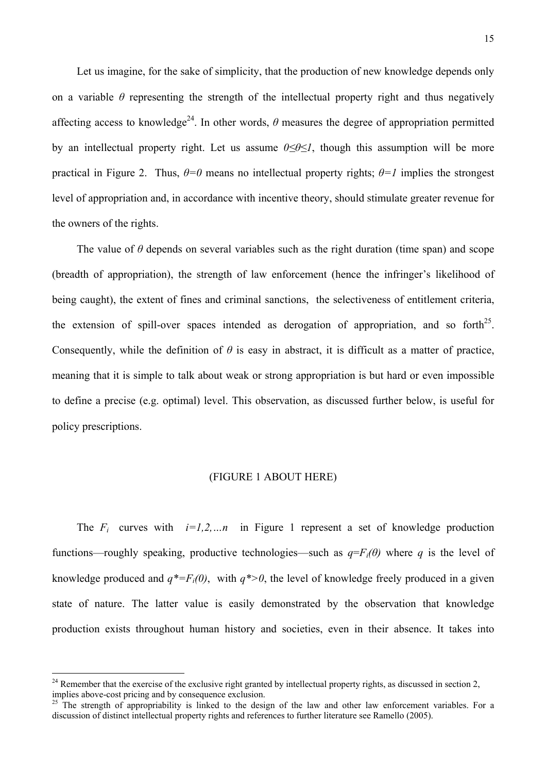Let us imagine, for the sake of simplicity, that the production of new knowledge depends only on a variable  $\theta$  representing the strength of the intellectual property right and thus negatively affecting access to knowledge<sup>24</sup>. In other words,  $\theta$  measures the degree of appropriation permitted by an intellectual property right. Let us assume *0≤θ≤1*, though this assumption will be more practical in Figure 2. Thus,  $\theta = 0$  means no intellectual property rights;  $\theta = I$  implies the strongest level of appropriation and, in accordance with incentive theory, should stimulate greater revenue for the owners of the rights.

The value of  $\theta$  depends on several variables such as the right duration (time span) and scope (breadth of appropriation), the strength of law enforcement (hence the infringer's likelihood of being caught), the extent of fines and criminal sanctions, the selectiveness of entitlement criteria, the extension of spill-over spaces intended as derogation of appropriation, and so forth<sup>25</sup>. Consequently, while the definition of  $\theta$  is easy in abstract, it is difficult as a matter of practice, meaning that it is simple to talk about weak or strong appropriation is but hard or even impossible to define a precise (e.g. optimal) level. This observation, as discussed further below, is useful for policy prescriptions.

# (FIGURE 1 ABOUT HERE)

The  $F_i$  curves with  $i=1,2,...n$  in Figure 1 represent a set of knowledge production functions—roughly speaking, productive technologies—such as  $q = F_i(\theta)$  where q is the level of knowledge produced and  $q^*=F_i(0)$ , with  $q^*>0$ , the level of knowledge freely produced in a given state of nature. The latter value is easily demonstrated by the observation that knowledge production exists throughout human history and societies, even in their absence. It takes into

 $24$  Remember that the exercise of the exclusive right granted by intellectual property rights, as discussed in section 2, implies above-cost pricing and by consequence exclusion.

<sup>&</sup>lt;sup>25</sup> The strength of appropriability is linked to the design of the law and other law enforcement variables. For a discussion of distinct intellectual property rights and references to further literature see Ramello (2005).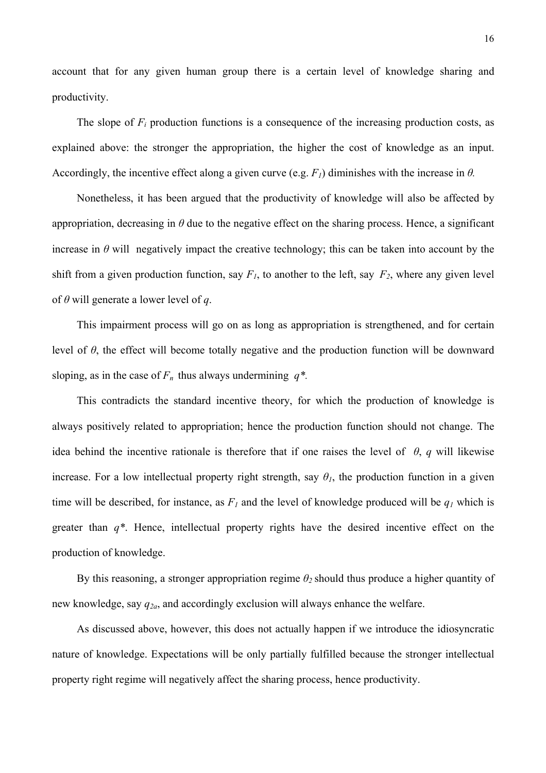account that for any given human group there is a certain level of knowledge sharing and productivity.

The slope of  $F_i$  production functions is a consequence of the increasing production costs, as explained above: the stronger the appropriation, the higher the cost of knowledge as an input. Accordingly, the incentive effect along a given curve (e.g.  $F_l$ ) diminishes with the increase in  $\theta$ .

Nonetheless, it has been argued that the productivity of knowledge will also be affected by appropriation, decreasing in  $\theta$  due to the negative effect on the sharing process. Hence, a significant increase in  $\theta$  will negatively impact the creative technology; this can be taken into account by the shift from a given production function, say  $F_1$ , to another to the left, say  $F_2$ , where any given level of *θ* will generate a lower level of *q*.

This impairment process will go on as long as appropriation is strengthened, and for certain level of *θ*, the effect will become totally negative and the production function will be downward sloping, as in the case of  $F_n$  thus always undermining  $q^*$ .

This contradicts the standard incentive theory, for which the production of knowledge is always positively related to appropriation; hence the production function should not change. The idea behind the incentive rationale is therefore that if one raises the level of *θ*, *q* will likewise increase. For a low intellectual property right strength, say  $\theta_l$ , the production function in a given time will be described, for instance, as  $F_l$  and the level of knowledge produced will be  $q_l$  which is greater than *q\**. Hence, intellectual property rights have the desired incentive effect on the production of knowledge.

By this reasoning, a stronger appropriation regime *θ2* should thus produce a higher quantity of new knowledge, say *q2a*, and accordingly exclusion will always enhance the welfare.

As discussed above, however, this does not actually happen if we introduce the idiosyncratic nature of knowledge. Expectations will be only partially fulfilled because the stronger intellectual property right regime will negatively affect the sharing process, hence productivity.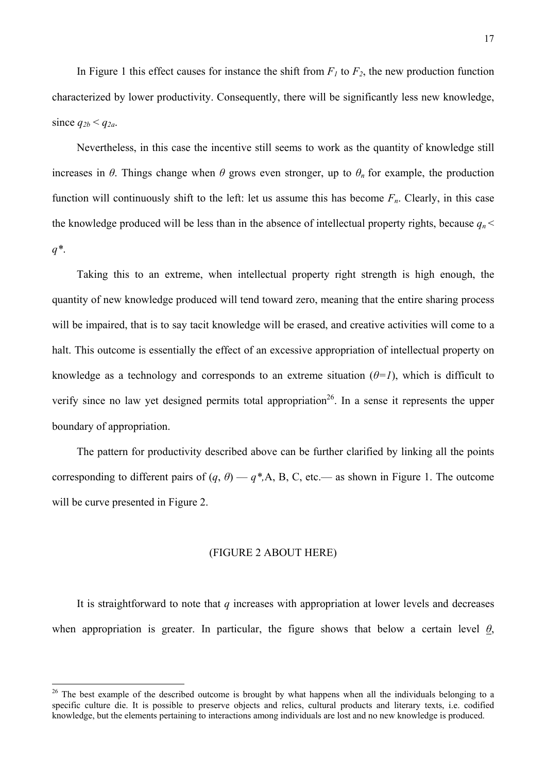In Figure 1 this effect causes for instance the shift from  $F_1$  to  $F_2$ , the new production function characterized by lower productivity. Consequently, there will be significantly less new knowledge, since  $q_{2b} < q_{2a}$ .

Nevertheless, in this case the incentive still seems to work as the quantity of knowledge still increases in  $\theta$ . Things change when  $\theta$  grows even stronger, up to  $\theta_n$  for example, the production function will continuously shift to the left: let us assume this has become  $F_n$ . Clearly, in this case the knowledge produced will be less than in the absence of intellectual property rights, because  $q_n$  < *q\**.

Taking this to an extreme, when intellectual property right strength is high enough, the quantity of new knowledge produced will tend toward zero, meaning that the entire sharing process will be impaired, that is to say tacit knowledge will be erased, and creative activities will come to a halt. This outcome is essentially the effect of an excessive appropriation of intellectual property on knowledge as a technology and corresponds to an extreme situation  $(\theta = 1)$ , which is difficult to verify since no law yet designed permits total appropriation<sup>26</sup>. In a sense it represents the upper boundary of appropriation.

The pattern for productivity described above can be further clarified by linking all the points corresponding to different pairs of  $(q, \theta)$  —  $q^*$ , A, B, C, etc.— as shown in Figure 1. The outcome will be curve presented in Figure 2.

#### (FIGURE 2 ABOUT HERE)

It is straightforward to note that *q* increases with appropriation at lower levels and decreases when appropriation is greater. In particular, the figure shows that below a certain level  $\theta$ ,

<sup>&</sup>lt;sup>26</sup> The best example of the described outcome is brought by what happens when all the individuals belonging to a specific culture die. It is possible to preserve objects and relics, cultural products and literary texts, i.e. codified knowledge, but the elements pertaining to interactions among individuals are lost and no new knowledge is produced.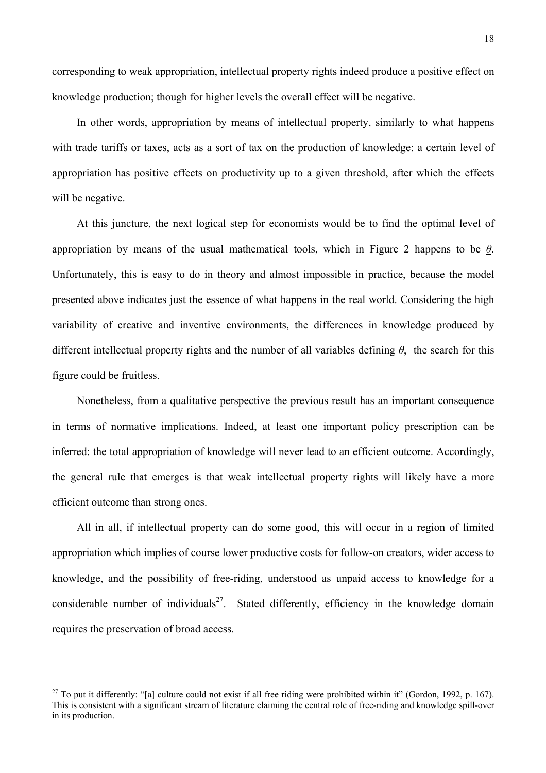corresponding to weak appropriation, intellectual property rights indeed produce a positive effect on knowledge production; though for higher levels the overall effect will be negative.

In other words, appropriation by means of intellectual property, similarly to what happens with trade tariffs or taxes, acts as a sort of tax on the production of knowledge: a certain level of appropriation has positive effects on productivity up to a given threshold, after which the effects will be negative.

At this juncture, the next logical step for economists would be to find the optimal level of appropriation by means of the usual mathematical tools, which in Figure 2 happens to be  $\theta$ . Unfortunately, this is easy to do in theory and almost impossible in practice, because the model presented above indicates just the essence of what happens in the real world. Considering the high variability of creative and inventive environments, the differences in knowledge produced by different intellectual property rights and the number of all variables defining *θ*, the search for this figure could be fruitless.

Nonetheless, from a qualitative perspective the previous result has an important consequence in terms of normative implications. Indeed, at least one important policy prescription can be inferred: the total appropriation of knowledge will never lead to an efficient outcome. Accordingly, the general rule that emerges is that weak intellectual property rights will likely have a more efficient outcome than strong ones.

All in all, if intellectual property can do some good, this will occur in a region of limited appropriation which implies of course lower productive costs for follow-on creators, wider access to knowledge, and the possibility of free-riding, understood as unpaid access to knowledge for a considerable number of individuals<sup>27</sup>. Stated differently, efficiency in the knowledge domain requires the preservation of broad access.

<sup>&</sup>lt;sup>27</sup> To put it differently: "[a] culture could not exist if all free riding were prohibited within it" (Gordon, 1992, p. 167). This is consistent with a significant stream of literature claiming the central role of free-riding and knowledge spill-over in its production.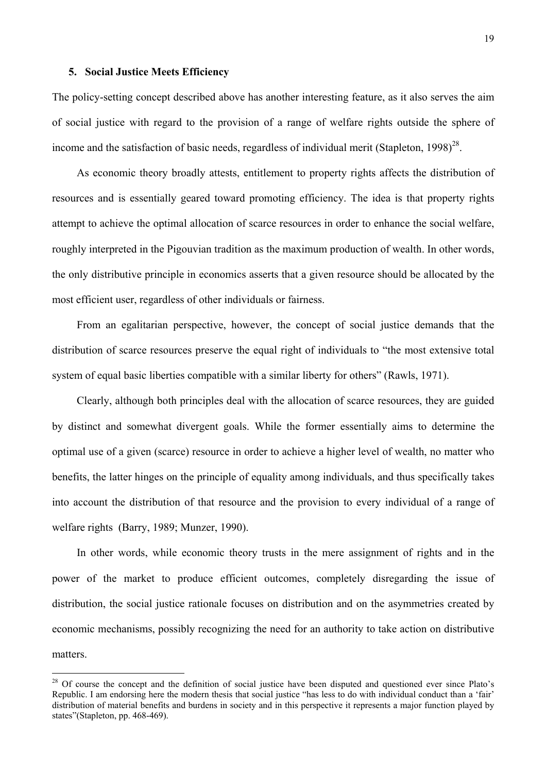## **5. Social Justice Meets Efficiency**

 $\overline{a}$ 

The policy-setting concept described above has another interesting feature, as it also serves the aim of social justice with regard to the provision of a range of welfare rights outside the sphere of income and the satisfaction of basic needs, regardless of individual merit (Stapleton,  $1998$ )<sup>28</sup>.

As economic theory broadly attests, entitlement to property rights affects the distribution of resources and is essentially geared toward promoting efficiency. The idea is that property rights attempt to achieve the optimal allocation of scarce resources in order to enhance the social welfare, roughly interpreted in the Pigouvian tradition as the maximum production of wealth. In other words, the only distributive principle in economics asserts that a given resource should be allocated by the most efficient user, regardless of other individuals or fairness.

From an egalitarian perspective, however, the concept of social justice demands that the distribution of scarce resources preserve the equal right of individuals to "the most extensive total system of equal basic liberties compatible with a similar liberty for others" (Rawls, 1971).

Clearly, although both principles deal with the allocation of scarce resources, they are guided by distinct and somewhat divergent goals. While the former essentially aims to determine the optimal use of a given (scarce) resource in order to achieve a higher level of wealth, no matter who benefits, the latter hinges on the principle of equality among individuals, and thus specifically takes into account the distribution of that resource and the provision to every individual of a range of welfare rights (Barry, 1989; Munzer, 1990).

In other words, while economic theory trusts in the mere assignment of rights and in the power of the market to produce efficient outcomes, completely disregarding the issue of distribution, the social justice rationale focuses on distribution and on the asymmetries created by economic mechanisms, possibly recognizing the need for an authority to take action on distributive matters.

 $28$  Of course the concept and the definition of social justice have been disputed and questioned ever since Plato's Republic. I am endorsing here the modern thesis that social justice "has less to do with individual conduct than a 'fair' distribution of material benefits and burdens in society and in this perspective it represents a major function played by states"(Stapleton, pp. 468-469).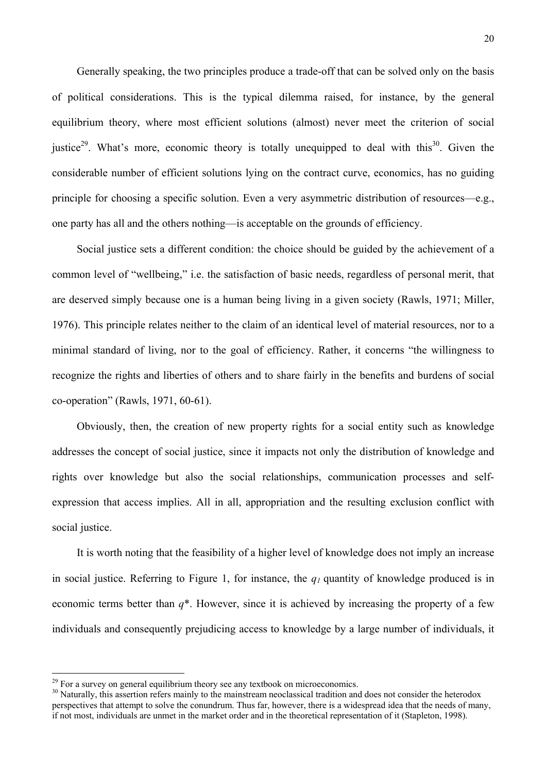Generally speaking, the two principles produce a trade-off that can be solved only on the basis of political considerations. This is the typical dilemma raised, for instance, by the general equilibrium theory, where most efficient solutions (almost) never meet the criterion of social justice<sup>29</sup>. What's more, economic theory is totally unequipped to deal with this<sup>30</sup>. Given the considerable number of efficient solutions lying on the contract curve, economics, has no guiding principle for choosing a specific solution. Even a very asymmetric distribution of resources—e.g., one party has all and the others nothing—is acceptable on the grounds of efficiency.

Social justice sets a different condition: the choice should be guided by the achievement of a common level of "wellbeing," i.e. the satisfaction of basic needs, regardless of personal merit, that are deserved simply because one is a human being living in a given society (Rawls, 1971; Miller, 1976). This principle relates neither to the claim of an identical level of material resources, nor to a minimal standard of living, nor to the goal of efficiency. Rather, it concerns "the willingness to recognize the rights and liberties of others and to share fairly in the benefits and burdens of social co-operation" (Rawls, 1971, 60-61).

Obviously, then, the creation of new property rights for a social entity such as knowledge addresses the concept of social justice, since it impacts not only the distribution of knowledge and rights over knowledge but also the social relationships, communication processes and selfexpression that access implies. All in all, appropriation and the resulting exclusion conflict with social justice.

It is worth noting that the feasibility of a higher level of knowledge does not imply an increase in social justice. Referring to Figure 1, for instance, the  $q_1$  quantity of knowledge produced is in economic terms better than *q*\*. However, since it is achieved by increasing the property of a few individuals and consequently prejudicing access to knowledge by a large number of individuals, it

 $29$  For a survey on general equilibrium theory see any textbook on microeconomics.

<sup>&</sup>lt;sup>30</sup> Naturally, this assertion refers mainly to the mainstream neoclassical tradition and does not consider the heterodox perspectives that attempt to solve the conundrum. Thus far, however, there is a widespread idea that the needs of many, if not most, individuals are unmet in the market order and in the theoretical representation of it (Stapleton, 1998).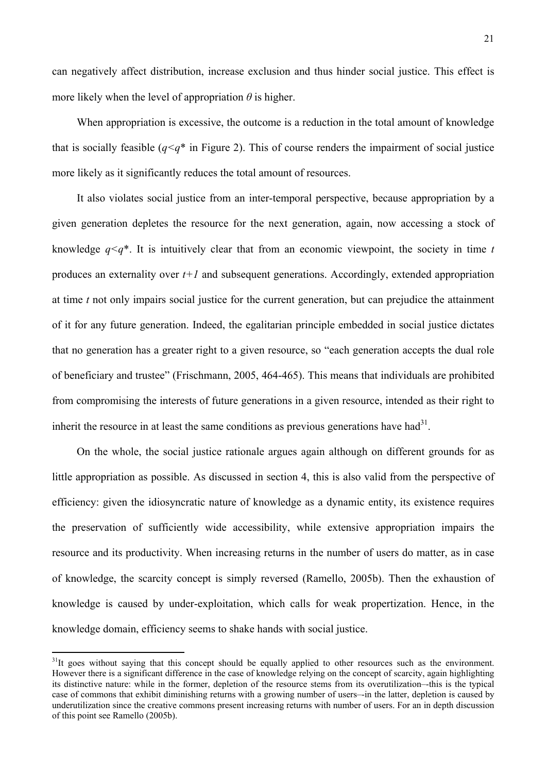can negatively affect distribution, increase exclusion and thus hinder social justice. This effect is more likely when the level of appropriation  $\theta$  is higher.

When appropriation is excessive, the outcome is a reduction in the total amount of knowledge that is socially feasible  $(q \leq q^*)$  in Figure 2). This of course renders the impairment of social justice more likely as it significantly reduces the total amount of resources.

It also violates social justice from an inter-temporal perspective, because appropriation by a given generation depletes the resource for the next generation, again, now accessing a stock of knowledge  $q \leq q^*$ . It is intuitively clear that from an economic viewpoint, the society in time  $t$ produces an externality over  $t+1$  and subsequent generations. Accordingly, extended appropriation at time *t* not only impairs social justice for the current generation, but can prejudice the attainment of it for any future generation. Indeed, the egalitarian principle embedded in social justice dictates that no generation has a greater right to a given resource, so "each generation accepts the dual role of beneficiary and trustee" (Frischmann, 2005, 464-465). This means that individuals are prohibited from compromising the interests of future generations in a given resource, intended as their right to inherit the resource in at least the same conditions as previous generations have had $3<sup>1</sup>$ .

On the whole, the social justice rationale argues again although on different grounds for as little appropriation as possible. As discussed in section 4, this is also valid from the perspective of efficiency: given the idiosyncratic nature of knowledge as a dynamic entity, its existence requires the preservation of sufficiently wide accessibility, while extensive appropriation impairs the resource and its productivity. When increasing returns in the number of users do matter, as in case of knowledge, the scarcity concept is simply reversed (Ramello, 2005b). Then the exhaustion of knowledge is caused by under-exploitation, which calls for weak propertization. Hence, in the knowledge domain, efficiency seems to shake hands with social justice.

 $31$ It goes without saying that this concept should be equally applied to other resources such as the environment. However there is a significant difference in the case of knowledge relying on the concept of scarcity, again highlighting its distinctive nature: while in the former, depletion of the resource stems from its overutilization–-this is the typical case of commons that exhibit diminishing returns with a growing number of users–-in the latter, depletion is caused by underutilization since the creative commons present increasing returns with number of users. For an in depth discussion of this point see Ramello (2005b).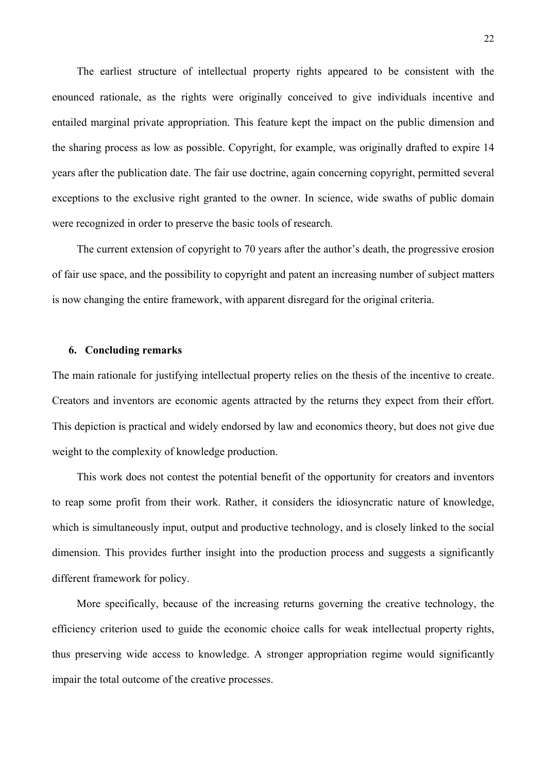The earliest structure of intellectual property rights appeared to be consistent with the enounced rationale, as the rights were originally conceived to give individuals incentive and entailed marginal private appropriation. This feature kept the impact on the public dimension and the sharing process as low as possible. Copyright, for example, was originally drafted to expire 14 years after the publication date. The fair use doctrine, again concerning copyright, permitted several exceptions to the exclusive right granted to the owner. In science, wide swaths of public domain were recognized in order to preserve the basic tools of research.

The current extension of copyright to 70 years after the author's death, the progressive erosion of fair use space, and the possibility to copyright and patent an increasing number of subject matters is now changing the entire framework, with apparent disregard for the original criteria.

## **6. Concluding remarks**

The main rationale for justifying intellectual property relies on the thesis of the incentive to create. Creators and inventors are economic agents attracted by the returns they expect from their effort. This depiction is practical and widely endorsed by law and economics theory, but does not give due weight to the complexity of knowledge production.

This work does not contest the potential benefit of the opportunity for creators and inventors to reap some profit from their work. Rather, it considers the idiosyncratic nature of knowledge, which is simultaneously input, output and productive technology, and is closely linked to the social dimension. This provides further insight into the production process and suggests a significantly different framework for policy.

More specifically, because of the increasing returns governing the creative technology, the efficiency criterion used to guide the economic choice calls for weak intellectual property rights, thus preserving wide access to knowledge. A stronger appropriation regime would significantly impair the total outcome of the creative processes.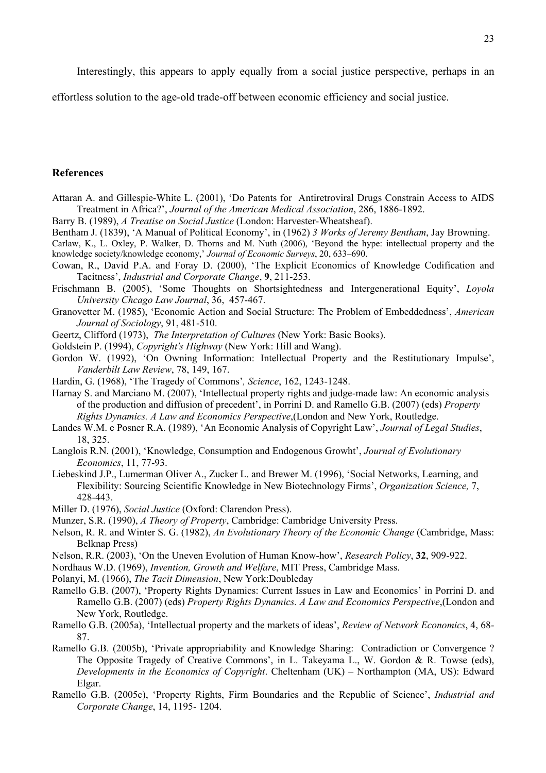Interestingly, this appears to apply equally from a social justice perspective, perhaps in an

effortless solution to the age-old trade-off between economic efficiency and social justice.

# **References**

- Attaran A. and Gillespie-White L. (2001), 'Do Patents for Antiretroviral Drugs Constrain Access to AIDS Treatment in Africa?', *Journal of the American Medical Association*, 286, 1886-1892.
- Barry B. (1989), *A Treatise on Social Justice* (London: Harvester-Wheatsheaf).
- Bentham J. (1839), 'A Manual of Political Economy', in (1962) *3 Works of Jeremy Bentham*, Jay Browning.
- Carlaw, K., L. Oxley, P. Walker, D. Thorns and M. Nuth (2006), 'Beyond the hype: intellectual property and the knowledge society/knowledge economy,' *Journal of Economic Surveys*, 20, 633–690.
- Cowan, R., David P.A. and Foray D. (2000), 'The Explicit Economics of Knowledge Codification and Tacitness', *Industrial and Corporate Change*, **9**, 211-253.
- Frischmann B. (2005), 'Some Thoughts on Shortsightedness and Intergenerational Equity', *Loyola University Chcago Law Journal*, 36, 457-467.
- Granovetter M. (1985), 'Economic Action and Social Structure: The Problem of Embeddedness', *American Journal of Sociology*, 91, 481-510.
- Geertz, Clifford (1973), *The Interpretation of Cultures* (New York: Basic Books).
- Goldstein P. (1994), *Copyright's Highway* (New York: Hill and Wang).
- Gordon W. (1992), 'On Owning Information: Intellectual Property and the Restitutionary Impulse', *Vanderbilt Law Review*, 78, 149, 167.
- Hardin, G. (1968), 'The Tragedy of Commons'*, Science*, 162, 1243-1248.
- Harnay S. and Marciano M. (2007), 'Intellectual property rights and judge-made law: An economic analysis of the production and diffusion of precedent', in Porrini D. and Ramello G.B. (2007) (eds) *Property Rights Dynamics. A Law and Economics Perspective*,(London and New York, Routledge.
- Landes W.M. e Posner R.A. (1989), 'An Economic Analysis of Copyright Law', *Journal of Legal Studies*, 18, 325.
- Langlois R.N. (2001), 'Knowledge, Consumption and Endogenous Growht', *Journal of Evolutionary Economics*, 11, 77-93.
- Liebeskind J.P., Lumerman Oliver A., Zucker L. and Brewer M. (1996), 'Social Networks, Learning, and Flexibility: Sourcing Scientific Knowledge in New Biotechnology Firms', *Organization Science,* 7, 428-443.
- Miller D. (1976), *Social Justice* (Oxford: Clarendon Press).

Munzer, S.R. (1990), *A Theory of Property*, Cambridge: Cambridge University Press.

- Nelson, R. R. and Winter S. G. (1982), *An Evolutionary Theory of the Economic Change* (Cambridge, Mass: Belknap Press)
- Nelson, R.R. (2003), 'On the Uneven Evolution of Human Know-how', *Research Policy*, **32**, 909-922.
- Nordhaus W.D. (1969), *Invention, Growth and Welfare*, MIT Press, Cambridge Mass.

Polanyi, M. (1966), *The Tacit Dimension*, New York:Doubleday

- Ramello G.B. (2007), 'Property Rights Dynamics: Current Issues in Law and Economics' in Porrini D. and Ramello G.B. (2007) (eds) *Property Rights Dynamics. A Law and Economics Perspective*,(London and New York, Routledge.
- Ramello G.B. (2005a), 'Intellectual property and the markets of ideas', *Review of Network Economics*, 4, 68- 87.
- Ramello G.B. (2005b), 'Private appropriability and Knowledge Sharing: Contradiction or Convergence ? The Opposite Tragedy of Creative Commons', in L. Takeyama L., W. Gordon & R. Towse (eds), *Developments in the Economics of Copyright*. Cheltenham (UK) – Northampton (MA, US): Edward Elgar.
- Ramello G.B. (2005c), 'Property Rights, Firm Boundaries and the Republic of Science', *Industrial and Corporate Change*, 14, 1195- 1204.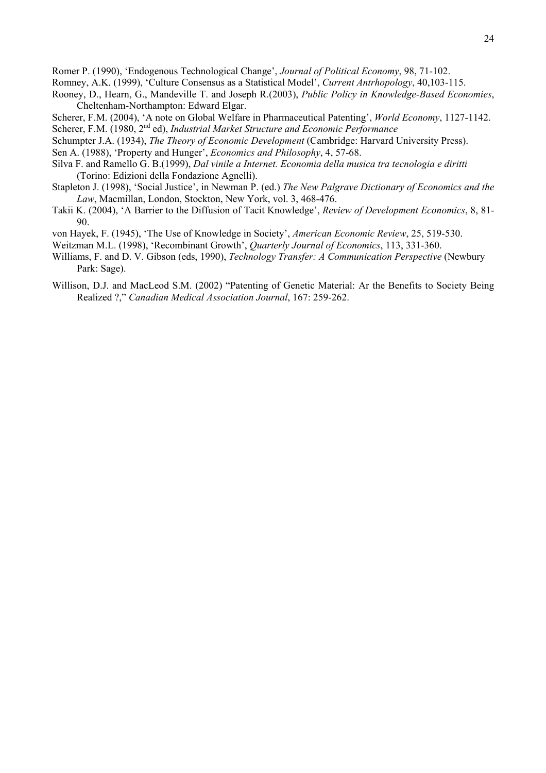Romer P. (1990), 'Endogenous Technological Change', *Journal of Political Economy*, 98, 71-102.

Romney, A.K. (1999), 'Culture Consensus as a Statistical Model', *Current Antrhopology*, 40,103-115.

- Rooney, D., Hearn, G., Mandeville T. and Joseph R.(2003), *Public Policy in Knowledge-Based Economies*, Cheltenham-Northampton: Edward Elgar.
- Scherer, F.M. (2004), 'A note on Global Welfare in Pharmaceutical Patenting', *World Economy*, 1127-1142. Scherer, F.M. (1980, 2<sup>nd</sup> ed), *Industrial Market Structure and Economic Performance*

Schumpter J.A. (1934), *The Theory of Economic Development* (Cambridge: Harvard University Press). Sen A. (1988), 'Property and Hunger', *Economics and Philosophy*, 4, 57-68.

Silva F. and Ramello G. B.(1999), *Dal vinile a Internet. Economia della musica tra tecnologia e diritti* (Torino: Edizioni della Fondazione Agnelli).

Stapleton J. (1998), 'Social Justice', in Newman P. (ed.) *The New Palgrave Dictionary of Economics and the Law*, Macmillan, London, Stockton, New York, vol. 3, 468-476.

- Takii K. (2004), 'A Barrier to the Diffusion of Tacit Knowledge', *Review of Development Economics*, 8, 81- 90.
- von Hayek, F. (1945), 'The Use of Knowledge in Society', *American Economic Review*, 25, 519-530.
- Weitzman M.L. (1998), 'Recombinant Growth', *Quarterly Journal of Economics*, 113, 331-360.
- Williams, F. and D. V. Gibson (eds, 1990), *Technology Transfer: A Communication Perspective* (Newbury Park: Sage).

Willison, D.J. and MacLeod S.M. (2002) "Patenting of Genetic Material: Ar the Benefits to Society Being Realized ?," *Canadian Medical Association Journal*, 167: 259-262.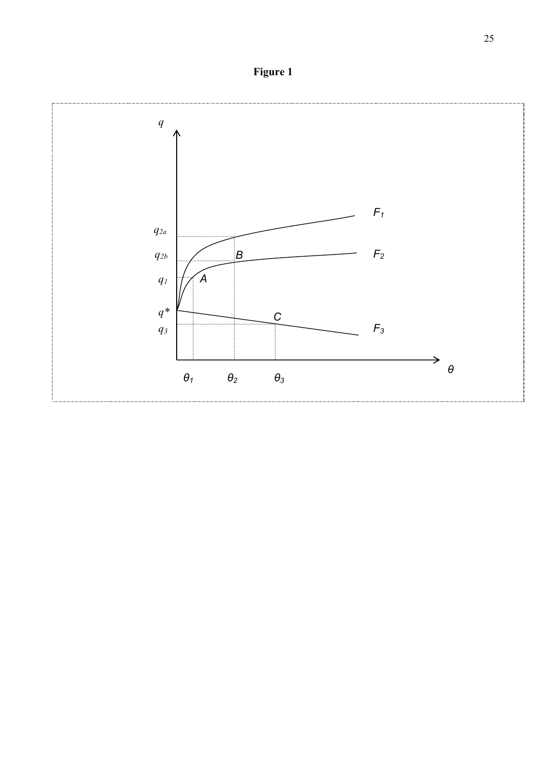**Figure 1**